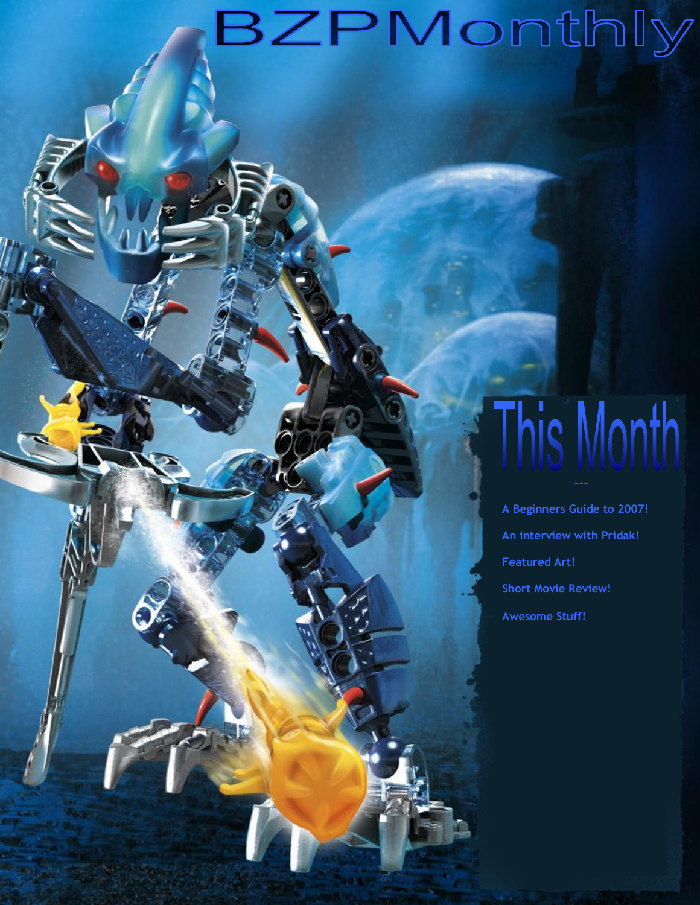## BZPMonthly

# This Month

**A Beginners Guide to 2007! An interview with Pridak! Featured Art! Short Movie Review! Awesome Stuff!**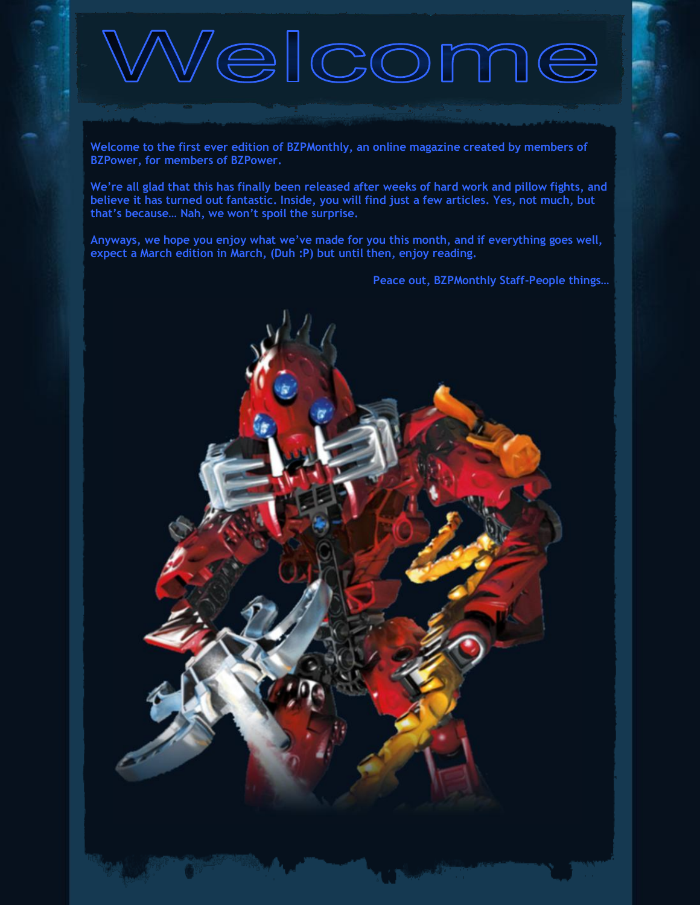# <sup>1</sup>elcome

**Welcome to the first ever edition of BZPMonthly, an online magazine created by members of BZPower, for members of BZPower.** 

**We're all glad that this has finally been released after weeks of hard work and pillow fights, and believe it has turned out fantastic. Inside, you will find just a few articles. Yes, not much, but that's because… Nah, we won't spoil the surprise.**

**Anyways, we hope you enjoy what we've made for you this month, and if everything goes well, expect a March edition in March, (Duh :P) but until then, enjoy reading.**

**Peace out, BZPMonthly Staff-People things…**

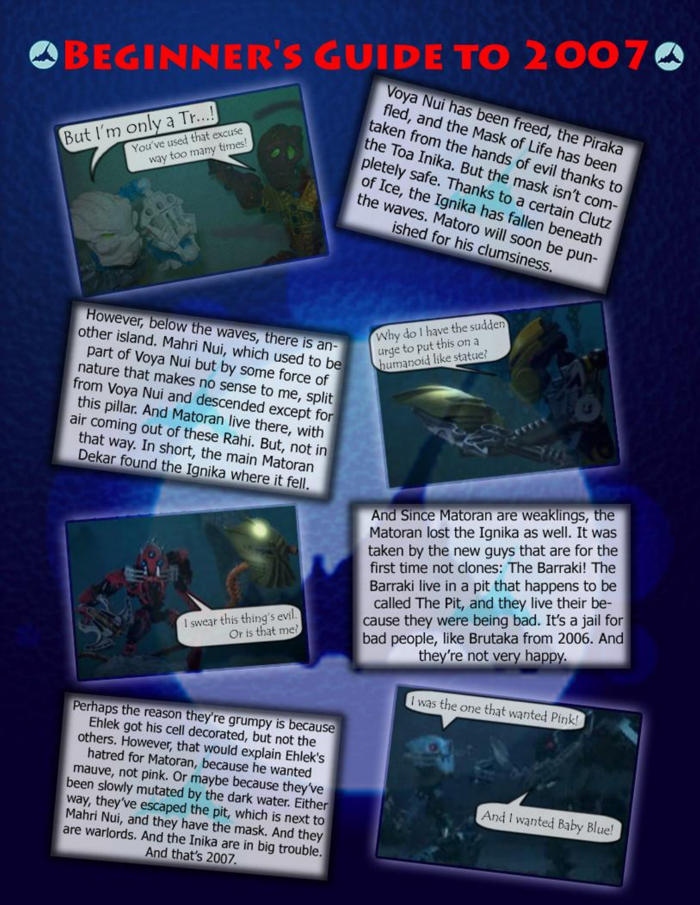## **OBEGINNER'S GUIDE TO 20070**



Voya Nui has been freed, the Piraka<br>fled, and the Mask of Life has been<br>ten from the hands of Life has been Thed, and the been freed, the Piraka<br>Iken from the Mask of Life has been<br>e Toa Inika. But the part of Life has been<br>tely safe The Toal the Mask of Life has been<br>the Toal the Mask of Life has been<br>pletely safe. Thands of evil thanks to<br>pr Ice, the Indianks to the Toa Inika. But the Mask of Life has been<br>pletely safe. Thanks to evil thanks to<br>of Ice, the Ignika to a certain (the waves. Mark has been To a Inika. But the mask isn't com-<br>pletely safe. Thanks to a certain Clutz<br>the waves. Matoro will safellen beneath.<br>ished for will see beneath. pletely safe. Thanks to a certain Club<br>of Ice, the Ignika has to a certain Club<br>the waves. Matoro will soon beneath<br>ished for his clumation be pup the waves. Matoro will soon be pun-<br>ished for his clumsiness.<br>ished for his clumsiness. ished for his clumsiness.

Why do I have the sudden why do I have the<br>urge to put this on a urge to put this statue?

However, below the waves, there is an-<br>other island. Mahri Nui, which used is another island. Mahri Nui, which used to be<br>part of Voya Nui but by some force is an-<br>nature that mail but by some force Part of Voya Nui but by some force of<br>ature that makes no sense to port of Woya Nui but by some force of nature that makes no sense to me, split<br>from Voya Nui and descended exercise From Voya Nui and descended except for<br>this pillar. And Matoran live there with this pillar. And descended except for this pillar. And Matoran live there, with<br>the coming out of these Rahi, But paid. air coming out of these Rahi. But, not in<br>that way. In short, the main Material that way. In short, the main Matoran<br>Dekar found the Ignika where it can Dekar found the Ignika where it fell.



And Since Matoran are weaklings, the Matoran lost the Ignika as well. It was taken by the new guys that are for the first time not clones: The Barraki! The Barraki live in a pit that happens to be called The Pit, and they live their because they were being bad. It's a jail for bad people, like Brutaka from 2006. And they're not very happy.

Perhaps the reason they're grumpy is because<br>Ehlek got his cell decorated, but pot the Ehlek got his cell decorated, but not the<br>thers. However, that would explore the others. However, that would explain Ehlek's<br>hatred for Matoran, because ho was hatred for Matoran, because he wanted<br>auve, not pink. Or maybe because he wanted matted for Matoran, because he wanted<br>matted of pink. Or maybe because they've<br>en slowly mutated by the dark was been slowly mutated by the dark water. Either<br>way, they've escaped the pit, which is way, they've escaped the dark water. Either<br>Mahri Nui, and they have the mack is next to Mahri Nui, and they have the pit, which is next to<br>are warlords. And they have the mask. And they<br>are warlords. And the Inika are in his i are warlords. And they have the mask. And they<br>are warlords. And the Inika are in big trouble. And that's 2007.

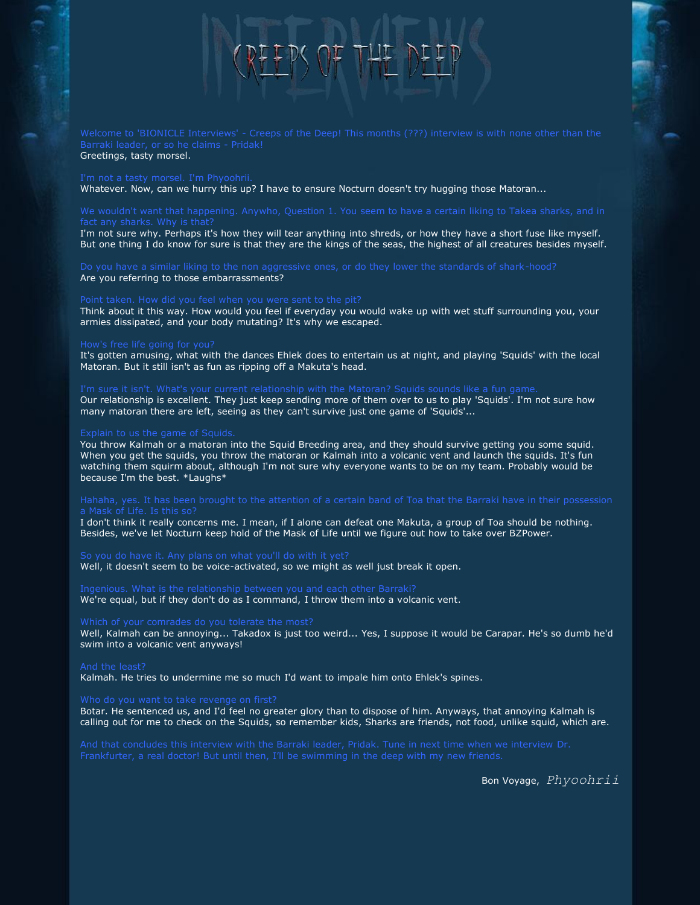## $RFFPS$  of  $THF$

Greetings, tasty morsel.

Whatever. Now, can we hurry this up? I have to ensure Nocturn doesn't try hugging those Matoran...

I'm not sure why. Perhaps it's how they will tear anything into shreds, or how they have a short fuse like myself. But one thing I do know for sure is that they are the kings of the seas, the highest of all creatures besides myself.

Are you referring to those embarrassments?

Think about it this way. How would you feel if everyday you would wake up with wet stuff surrounding you, your armies dissipated, and your body mutating? It's why we escaped.

It's gotten amusing, what with the dances Ehlek does to entertain us at night, and playing 'Squids' with the local Matoran. But it still isn't as fun as ripping off a Makuta's head.

Our relationship is excellent. They just keep sending more of them over to us to play 'Squids'. I'm not sure how many matoran there are left, seeing as they can't survive just one game of 'Squids'...

You throw Kalmah or a matoran into the Squid Breeding area, and they should survive getting you some squid. When you get the squids, you throw the matoran or Kalmah into a volcanic vent and launch the squids. It's fun watching them squirm about, although I'm not sure why everyone wants to be on my team. Probably would be because I'm the best. \*Laughs\*

I don't think it really concerns me. I mean, if I alone can defeat one Makuta, a group of Toa should be nothing. Besides, we've let Nocturn keep hold of the Mask of Life until we figure out how to take over BZPower.

Well, it doesn't seem to be voice-activated, so we might as well just break it open.

### Ingenious. What is the relationship between you and each other Barraki? We're equal, but if they don't do as I command, I throw them into a volcanic vent.

Well, Kalmah can be annoying... Takadox is just too weird... Yes, I suppose it would be Carapar. He's so dumb he'd swim into a volcanic vent anyways!

Kalmah. He tries to undermine me so much I'd want to impale him onto Ehlek's spines.

Botar. He sentenced us, and I'd feel no greater glory than to dispose of him. Anyways, that annoying Kalmah is calling out for me to check on the Squids, so remember kids, Sharks are friends, not food, unlike squid, which are.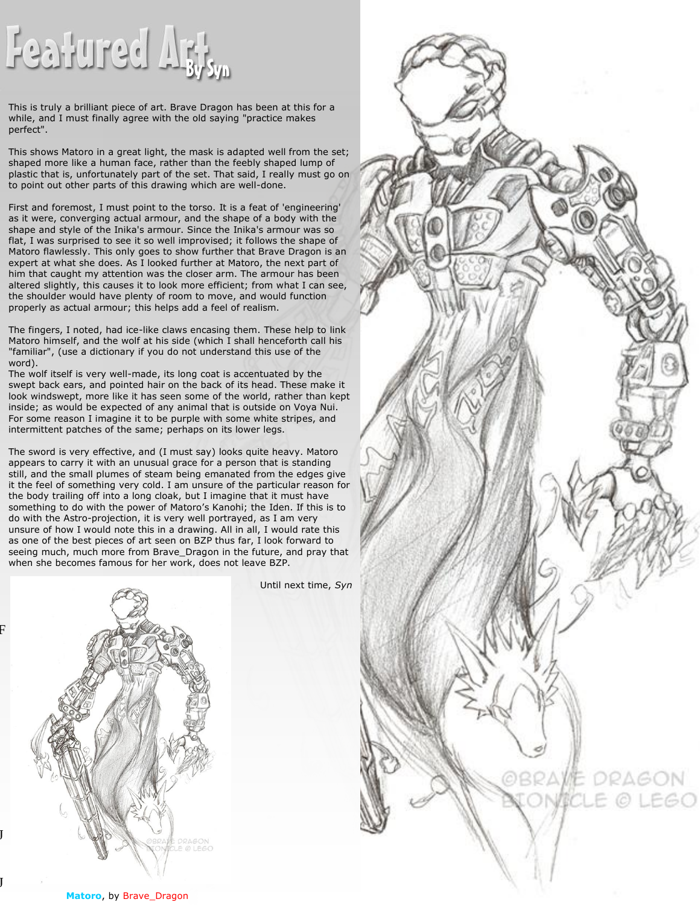# Featured Art

This is truly a brilliant piece of art. Brave Dragon has been at this for a while, and I must finally agree with the old saying "practice makes perfect".

This shows Matoro in a great light, the mask is adapted well from the set; shaped more like a human face, rather than the feebly shaped lump of plastic that is, unfortunately part of the set. That said, I really must go on to point out other parts of this drawing which are well-done.

First and foremost, I must point to the torso. It is a feat of 'engineering' as it were, converging actual armour, and the shape of a body with the shape and style of the Inika's armour. Since the Inika's armour was so flat, I was surprised to see it so well improvised; it follows the shape of Matoro flawlessly. This only goes to show further that Brave Dragon is an expert at what she does. As I looked further at Matoro, the next part of him that caught my attention was the closer arm. The armour has been altered slightly, this causes it to look more efficient; from what I can see, the shoulder would have plenty of room to move, and would function properly as actual armour; this helps add a feel of realism.

The fingers, I noted, had ice-like claws encasing them. These help to link Matoro himself, and the wolf at his side (which I shall henceforth call his "familiar", (use a dictionary if you do not understand this use of the word).

The wolf itself is very well-made, its long coat is accentuated by the swept back ears, and pointed hair on the back of its head. These make it look windswept, more like it has seen some of the world, rather than kept inside; as would be expected of any animal that is outside on Voya Nui. For some reason I imagine it to be purple with some white stripes, and intermittent patches of the same; perhaps on its lower legs.

The sword is very effective, and (I must say) looks quite heavy. Matoro appears to carry it with an unusual grace for a person that is standing still, and the small plumes of steam being emanated from the edges give it the feel of something very cold. I am unsure of the particular reason for the body trailing off into a long cloak, but I imagine that it must have something to do with the power of Matoro's Kanohi; the Iden. If this is to do with the Astro-projection, it is very well portrayed, as I am very unsure of how I would note this in a drawing. All in all, I would rate this as one of the best pieces of art seen on BZP thus far, I look forward to seeing much, much more from Brave Dragon in the future, and pray that when she becomes famous for her work, does not leave BZP.



Until next time, *Syn*



**Matoro**, by Brave Dragon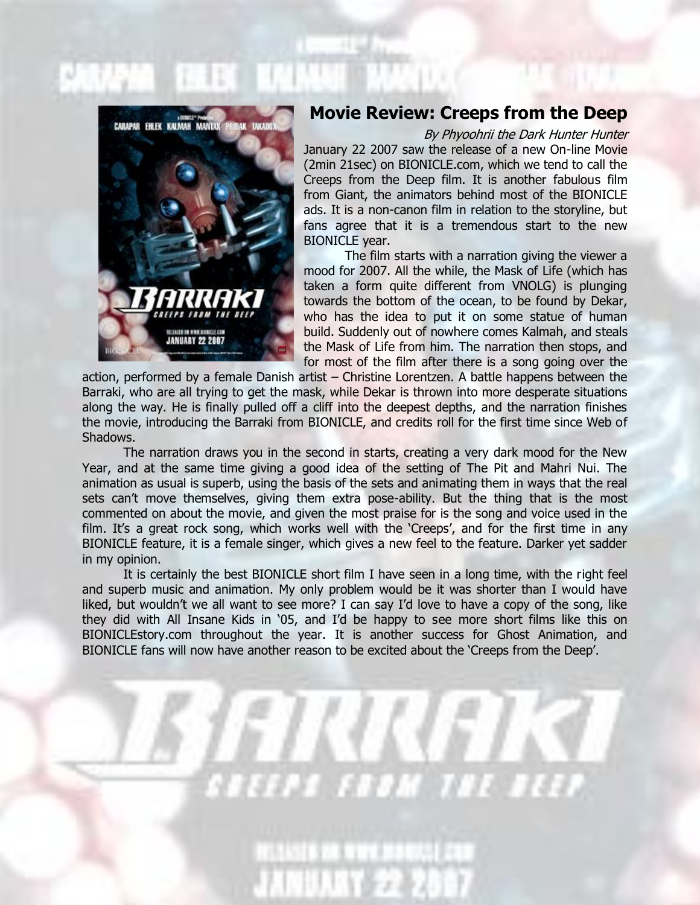

### **Movie Review: Creeps from the Deep**

By Phyoohrii the Dark Hunter Hunter

January 22 2007 saw the release of a new On-line Movie (2min 21sec) on BIONICLE.com, which we tend to call the Creeps from the Deep film. It is another fabulous film from Giant, the animators behind most of the BIONICLE ads. It is a non-canon film in relation to the storyline, but fans agree that it is a tremendous start to the new BIONICLE year.

The film starts with a narration giving the viewer a mood for 2007. All the while, the Mask of Life (which has taken a form quite different from VNOLG) is plunging towards the bottom of the ocean, to be found by Dekar, who has the idea to put it on some statue of human build. Suddenly out of nowhere comes Kalmah, and steals the Mask of Life from him. The narration then stops, and for most of the film after there is a song going over the

action, performed by a female Danish artist – Christine Lorentzen. A battle happens between the Barraki, who are all trying to get the mask, while Dekar is thrown into more desperate situations along the way. He is finally pulled off a cliff into the deepest depths, and the narration finishes the movie, introducing the Barraki from BIONICLE, and credits roll for the first time since Web of Shadows.

The narration draws you in the second in starts, creating a very dark mood for the New Year, and at the same time giving a good idea of the setting of The Pit and Mahri Nui. The animation as usual is superb, using the basis of the sets and animating them in ways that the real sets can't move themselves, giving them extra pose-ability. But the thing that is the most commented on about the movie, and given the most praise for is the song and voice used in the film. It's a great rock song, which works well with the 'Creeps', and for the first time in any BIONICLE feature, it is a female singer, which gives a new feel to the feature. Darker yet sadder in my opinion.

It is certainly the best BIONICLE short film I have seen in a long time, with the right feel and superb music and animation. My only problem would be it was shorter than I would have liked, but wouldn't we all want to see more? I can say I'd love to have a copy of the song, like they did with All Insane Kids in '05, and I'd be happy to see more short films like this on BIONICLEstory.com throughout the year. It is another success for Ghost Animation, and BIONICLE fans will now have another reason to be excited about the 'Creeps from the Deep'.

*FE FEDM THE B*